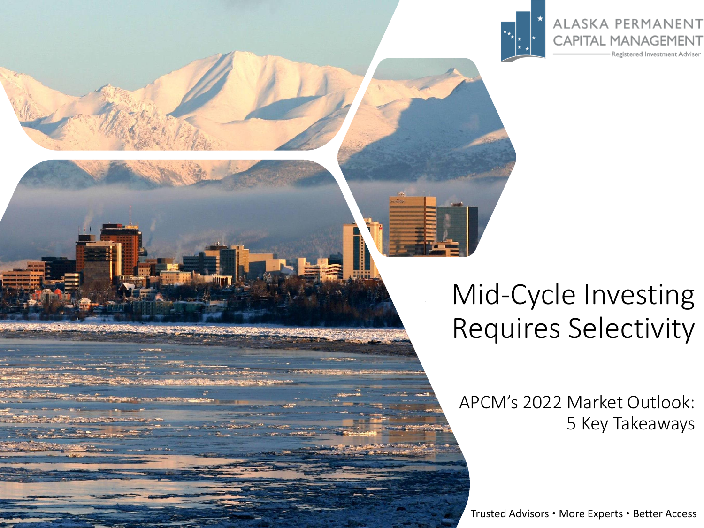

ALASKA PERMANENT **CAPITAL MANAGEMENT** 

Registered Investment Adviser

# Mid-Cycle Investing Requires Selectivity

APCM's 2022 Market Outlook: 5 Key Takeaways

Trusted Advisors • More Experts • Better Access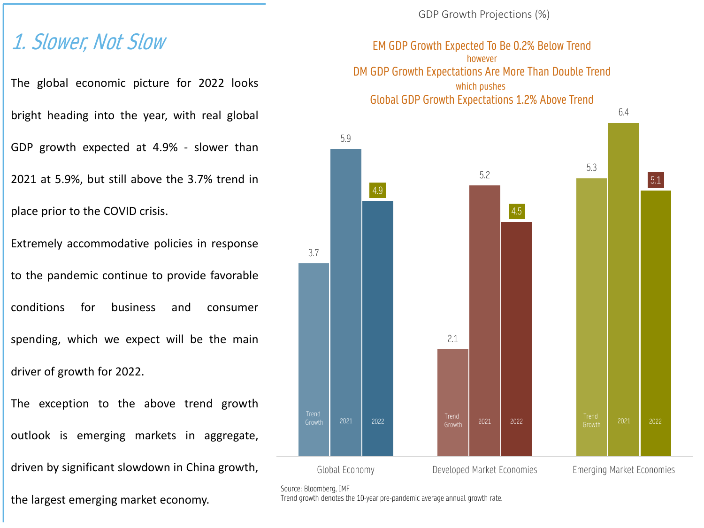#### 1. Slower, Not Slow

The global economic picture for 2022 looks

bright heading into the year, with real global

GDP growth expected at 4.9% - slower than

2021 at 5.9%, but still above the 3.7% trend in

place prior to the COVID crisis.

Extremely accommodative policies in response to the pandemic continue to provide favorable conditions for business and consumer spending, which we expect will be the main driver of growth for 2022.

The exception to the above trend growth outlook is emerging markets in aggregate, driven by significant slowdown in China growth,

the largest emerging market economy.

GDP Growth Projections (%)

EM GDP Growth Expected To Be 0.2% Below Trend however DM GDP Growth Expectations Are More Than Double Trend which pushes Global GDP Growth Expectations 1.2% Above Trend



Source: Bloomberg, IMF

Trend growth denotes the 10-year pre-pandemic average annual growth rate.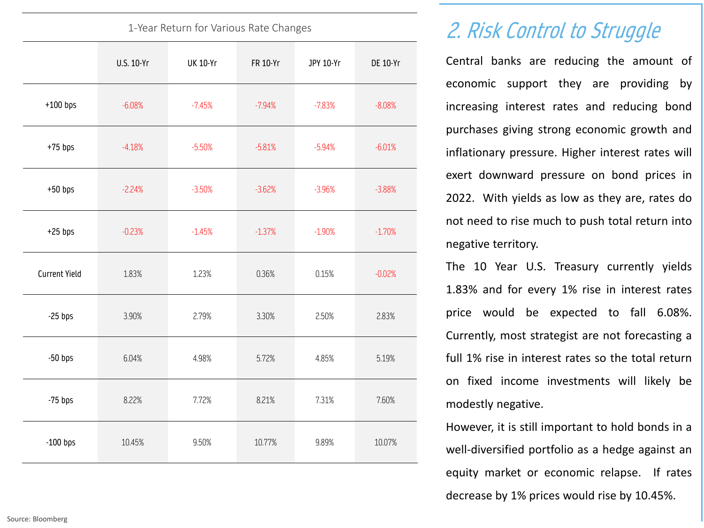| 1-Year Return for Various Rate Changes |            |                 |          |           |                 |
|----------------------------------------|------------|-----------------|----------|-----------|-----------------|
|                                        | U.S. 10-Yr | <b>UK 10-Yr</b> | FR 10-Yr | JPY 10-Yr | <b>DE 10-Yr</b> |
| $+100$ bps                             | $-6.08%$   | $-7.45%$        | $-7.94%$ | $-7.83%$  | $-8.08%$        |
| $+75$ bps                              | $-4.18%$   | $-5.50%$        | $-5.81%$ | $-5.94%$  | $-6.01%$        |
| $+50$ bps                              | $-2.24%$   | $-3.50%$        | $-3.62%$ | $-3.96%$  | $-3.88%$        |
| $+25$ bps                              | $-0.23%$   | $-1.45%$        | $-1.37%$ | $-1.90%$  | $-1.70%$        |
| <b>Current Yield</b>                   | 1.83%      | 1.23%           | 0.36%    | 0.15%     | $-0.02%$        |
| $-25$ bps                              | 3.90%      | 2.79%           | 3.30%    | 2.50%     | 2.83%           |
| $-50$ bps                              | 6.04%      | 4.98%           | 5.72%    | 4.85%     | 5.19%           |
| $-75$ bps                              | 8.22%      | 7.72%           | 8.21%    | 7.31%     | 7.60%           |
| $-100$ bps                             | 10.45%     | 9.50%           | 10.77%   | 9.89%     | 10.07%          |

## 2. Risk Control to Struggle

Central banks are reducing the amount of economic support they are providing by increasing interest rates and reducing bond purchases giving strong economic growth and inflationary pressure. Higher interest rates will exert downward pressure on bond prices in 2022. With yields as low as they are, rates do not need to rise much to push total return into negative territory.

The 10 Year U.S. Treasury currently yields 1.83% and for every 1% rise in interest rates price would be expected to fall 6.08%. Currently, most strategist are not forecasting a full 1% rise in interest rates so the total return on fixed income investments will likely be modestly negative.

However, it is still important to hold bonds in a well-diversified portfolio as a hedge against an equity market or economic relapse. If rates decrease by 1% prices would rise by 10.45%.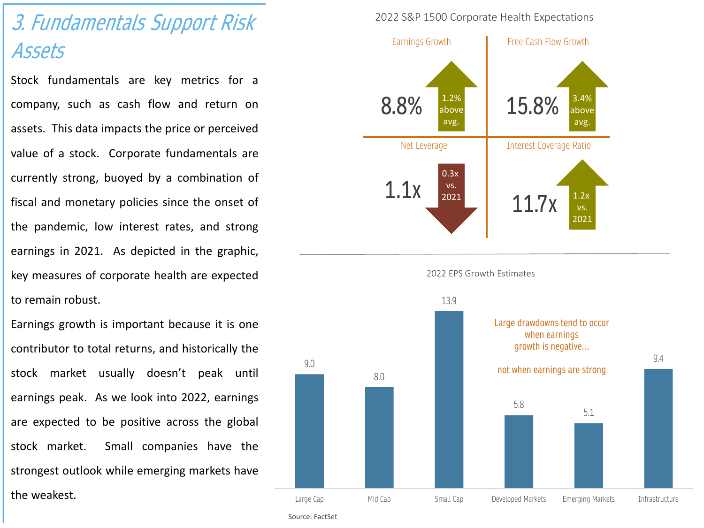# 3. Fundamentals Support Risk Assets

Stock fundamentals are key metrics for a company, such as cash flow and return on assets. This data impacts the price or perceived value of a stock. Corporate fundamentals are currently strong, buoyed by a combination of fiscal and monetary policies since the onset of the pandemic, low interest rates, and strong earnings in 2021. As depicted in the graphic, key measures of corporate health are expected to remain robust.

Earnings growth is important because it is one contributor to total returns, and historically the stock market usually doesn't peak until earnings peak. As we look into 2022, earnings are expected to be positive across the global stock market. Small companies have the strongest outlook while emerging markets have the weakest.

#### 2022 S&P 1500 Corporate Health Expectations



Source: FactSet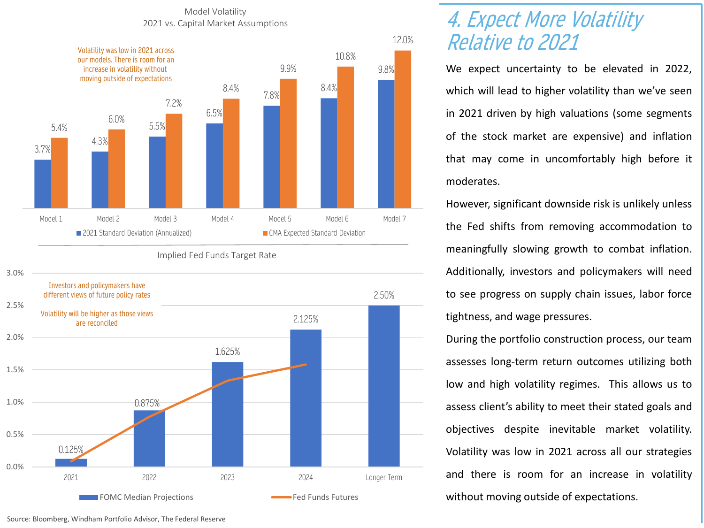Model Volatility 2021 vs. Capital Market Assumptions



Implied Fed Funds Target Rate



#### 4. Expect More Volatility Relative to 2021

We expect uncertainty to be elevated in 2022, which will lead to higher volatility than we've seen in 2021 driven by high valuations (some segments of the stock market are expensive) and inflation that may come in uncomfortably high before it moderates.

However, significant downside risk is unlikely unless the Fed shifts from removing accommodation to meaningfully slowing growth to combat inflation. Additionally, investors and policymakers will need to see progress on supply chain issues, labor force tightness, and wage pressures.

During the portfolio construction process, our team assesses long-term return outcomes utilizing both low and high volatility regimes. This allows us to assess client's ability to meet their stated goals and objectives despite inevitable market volatility. Volatility was low in 2021 across all our strategies and there is room for an increase in volatility without moving outside of expectations.

Source: Bloomberg, Windham Portfolio Advisor, The Federal Reserve